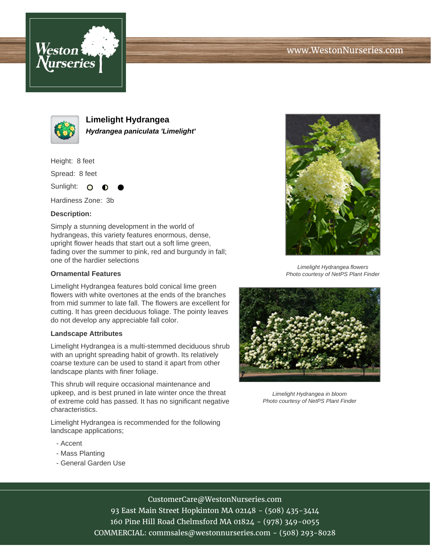



**Limelight Hydrangea Hydrangea paniculata 'Limelight'**

Height: 8 feet

Spread: 8 feet

Sunlight: O

Hardiness Zone: 3b

#### **Description:**

Simply a stunning development in the world of hydrangeas, this variety features enormous, dense, upright flower heads that start out a soft lime green, fading over the summer to pink, red and burgundy in fall; one of the hardier selections

#### **Ornamental Features**

Limelight Hydrangea features bold conical lime green flowers with white overtones at the ends of the branches from mid summer to late fall. The flowers are excellent for cutting. It has green deciduous foliage. The pointy leaves do not develop any appreciable fall color.

## **Landscape Attributes**

Limelight Hydrangea is a multi-stemmed deciduous shrub with an upright spreading habit of growth. Its relatively coarse texture can be used to stand it apart from other landscape plants with finer foliage.

This shrub will require occasional maintenance and upkeep, and is best pruned in late winter once the threat of extreme cold has passed. It has no significant negative characteristics.

Limelight Hydrangea is recommended for the following landscape applications;

- Accent
- Mass Planting
- General Garden Use



Limelight Hydrangea flowers Photo courtesy of NetPS Plant Finder



Limelight Hydrangea in bloom Photo courtesy of NetPS Plant Finder

# CustomerCare@WestonNurseries.com

93 East Main Street Hopkinton MA 02148 - (508) 435-3414 160 Pine Hill Road Chelmsford MA 01824 - (978) 349-0055 COMMERCIAL: commsales@westonnurseries.com - (508) 293-8028